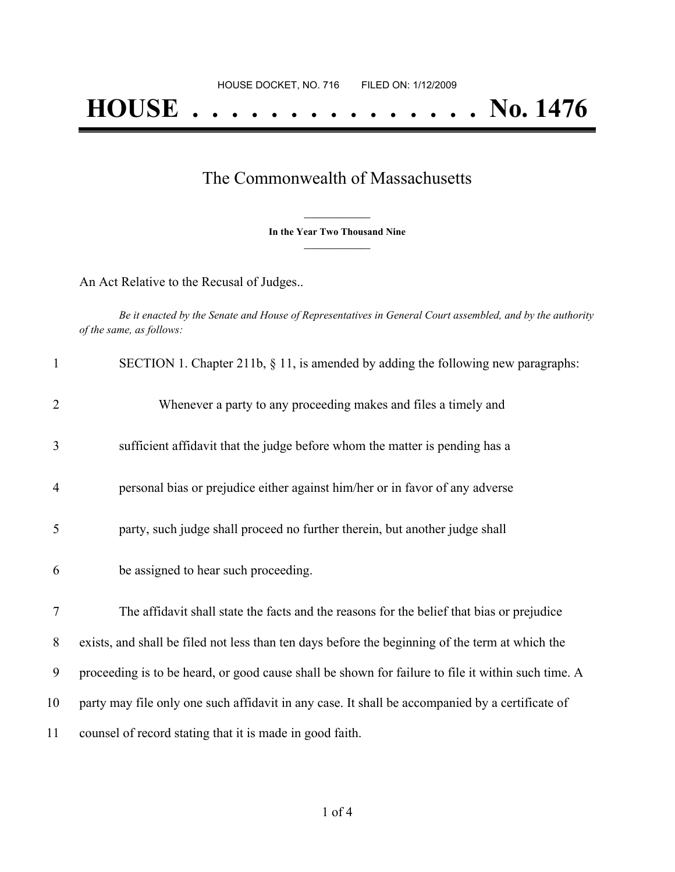## The Commonwealth of Massachusetts

**\_\_\_\_\_\_\_\_\_\_\_\_\_\_\_ In the Year Two Thousand Nine \_\_\_\_\_\_\_\_\_\_\_\_\_\_\_**

An Act Relative to the Recusal of Judges..

Be it enacted by the Senate and House of Representatives in General Court assembled, and by the authority *of the same, as follows:*

| $\mathbf{1}$   | SECTION 1. Chapter 211b, $\S$ 11, is amended by adding the following new paragraphs:               |
|----------------|----------------------------------------------------------------------------------------------------|
| $\overline{2}$ | Whenever a party to any proceeding makes and files a timely and                                    |
| 3              | sufficient affidavit that the judge before whom the matter is pending has a                        |
| $\overline{4}$ | personal bias or prejudice either against him/her or in favor of any adverse                       |
| 5              | party, such judge shall proceed no further therein, but another judge shall                        |
| 6              | be assigned to hear such proceeding.                                                               |
| 7              | The affidavit shall state the facts and the reasons for the belief that bias or prejudice          |
|                |                                                                                                    |
| 8              | exists, and shall be filed not less than ten days before the beginning of the term at which the    |
| 9              | proceeding is to be heard, or good cause shall be shown for failure to file it within such time. A |
| 10             | party may file only one such affidavit in any case. It shall be accompanied by a certificate of    |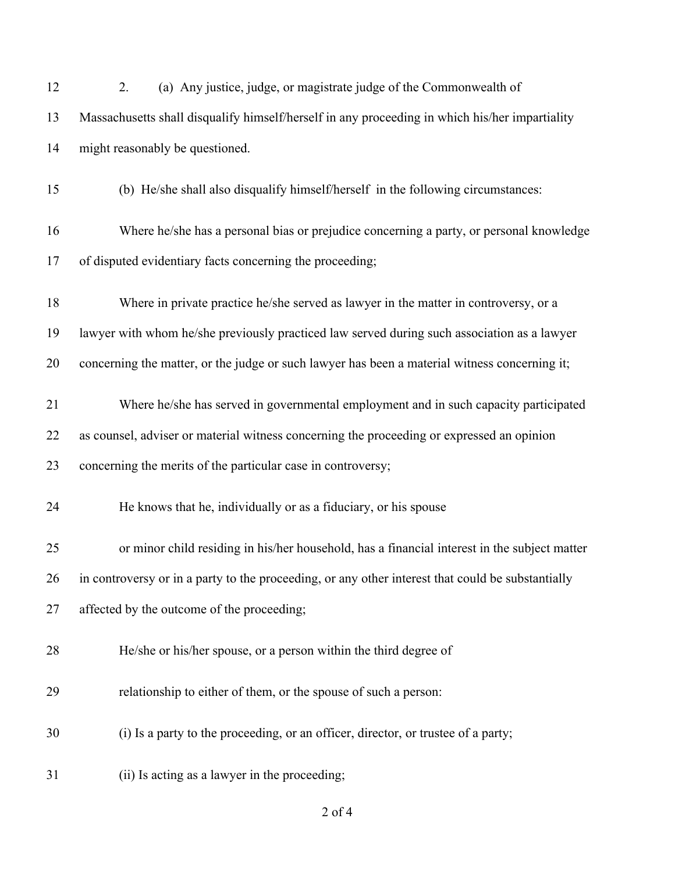| 12 | (a) Any justice, judge, or magistrate judge of the Commonwealth of<br>2.                          |
|----|---------------------------------------------------------------------------------------------------|
| 13 | Massachusetts shall disqualify himself/herself in any proceeding in which his/her impartiality    |
| 14 | might reasonably be questioned.                                                                   |
| 15 | (b) He/she shall also disqualify himself/herself in the following circumstances:                  |
| 16 | Where he/she has a personal bias or prejudice concerning a party, or personal knowledge           |
| 17 | of disputed evidentiary facts concerning the proceeding;                                          |
| 18 | Where in private practice he/she served as lawyer in the matter in controversy, or a              |
| 19 | lawyer with whom he/she previously practiced law served during such association as a lawyer       |
| 20 | concerning the matter, or the judge or such lawyer has been a material witness concerning it;     |
| 21 | Where he/she has served in governmental employment and in such capacity participated              |
| 22 | as counsel, adviser or material witness concerning the proceeding or expressed an opinion         |
| 23 | concerning the merits of the particular case in controversy;                                      |
| 24 | He knows that he, individually or as a fiduciary, or his spouse                                   |
| 25 | or minor child residing in his/her household, has a financial interest in the subject matter      |
| 26 | in controversy or in a party to the proceeding, or any other interest that could be substantially |
| 27 | affected by the outcome of the proceeding;                                                        |
| 28 | He/she or his/her spouse, or a person within the third degree of                                  |
| 29 | relationship to either of them, or the spouse of such a person:                                   |
| 30 | (i) Is a party to the proceeding, or an officer, director, or trustee of a party;                 |
| 31 | (ii) Is acting as a lawyer in the proceeding;                                                     |

of 4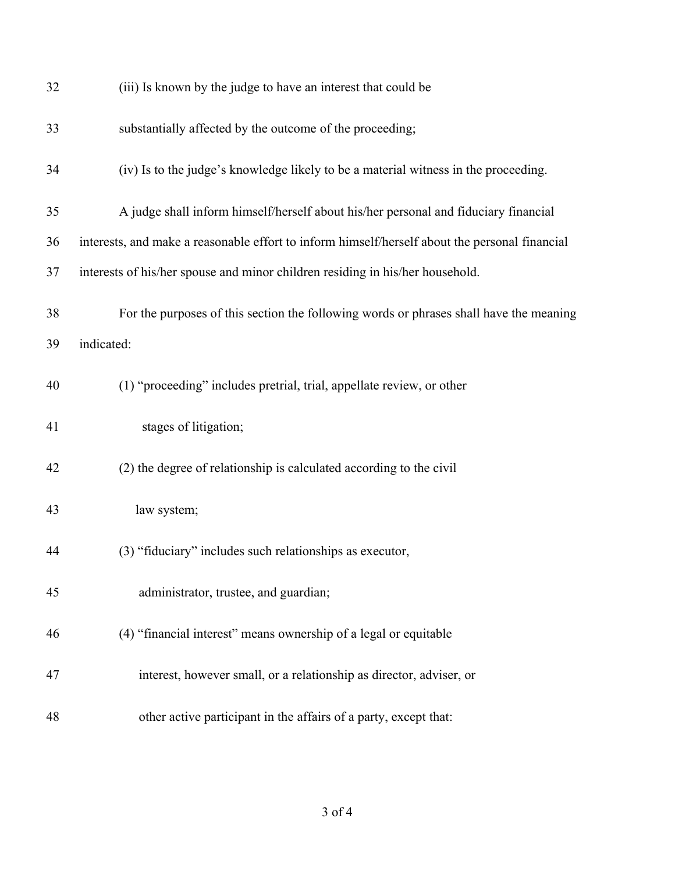| 32 | (iii) Is known by the judge to have an interest that could be                                  |
|----|------------------------------------------------------------------------------------------------|
| 33 | substantially affected by the outcome of the proceeding;                                       |
| 34 | (iv) Is to the judge's knowledge likely to be a material witness in the proceeding.            |
| 35 | A judge shall inform himself/herself about his/her personal and fiduciary financial            |
| 36 | interests, and make a reasonable effort to inform himself/herself about the personal financial |
| 37 | interests of his/her spouse and minor children residing in his/her household.                  |
| 38 | For the purposes of this section the following words or phrases shall have the meaning         |
| 39 | indicated:                                                                                     |
| 40 | (1) "proceeding" includes pretrial, trial, appellate review, or other                          |
| 41 | stages of litigation;                                                                          |
| 42 | (2) the degree of relationship is calculated according to the civil                            |
| 43 | law system;                                                                                    |
| 44 | (3) "fiduciary" includes such relationships as executor,                                       |
| 45 | administrator, trustee, and guardian;                                                          |
| 46 | (4) "financial interest" means ownership of a legal or equitable                               |
| 47 | interest, however small, or a relationship as director, adviser, or                            |
| 48 | other active participant in the affairs of a party, except that:                               |